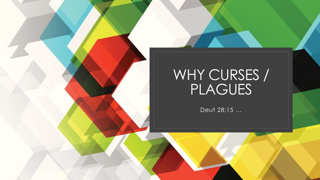

## WHY CURSES / PLAGUES

Deut 28:15 …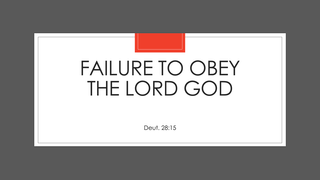## FAILURE TO OBEY THE LORD GOD

Deut. 28:15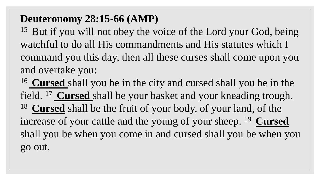## **Deuteronomy 28:15-66 (AMP)**

 $15$  But if you will not obey the voice of the Lord your God, being watchful to do all His commandments and His statutes which I command you this day, then all these curses shall come upon you and overtake you:

<sup>16</sup>**Cursed** shall you be in the city and cursed shall you be in the field. <sup>17</sup>**Cursed** shall be your basket and your kneading trough. <sup>18</sup>**Cursed** shall be the fruit of your body, of your land, of the increase of your cattle and the young of your sheep. <sup>19</sup> Cursed shall you be when you come in and cursed shall you be when you go out.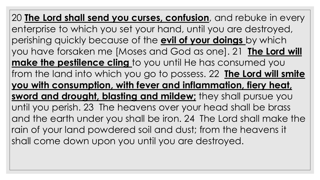20 **The Lord shall send you curses, confusion**, and rebuke in every enterprise to which you set your hand, until you are destroyed, perishing quickly because of the **evil of your doings** by which you have forsaken me [Moses and God as one]. 21 **The Lord will make the pestilence cling** to you until He has consumed you from the land into which you go to possess. 22 **The Lord will smite you with consumption, with fever and inflammation, fiery heat, sword and drought, blasting and mildew;** they shall pursue you until you perish. 23 The heavens over your head shall be brass and the earth under you shall be iron. 24 The Lord shall make the rain of your land powdered soil and dust; from the heavens it shall come down upon you until you are destroyed.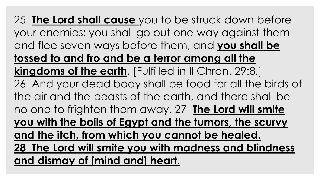25 **The Lord shall cause** you to be struck down before your enemies; you shall go out one way against them and flee seven ways before them, and **you shall be tossed to and fro and be a terror among all the kingdoms of the earth**. [Fulfilled in II Chron. 29:8.] 26 And your dead body shall be food for all the birds of the air and the beasts of the earth, and there shall be no one to frighten them away. 27 **The Lord will smite you with the boils of Egypt and the tumors, the scurvy and the itch, from which you cannot be healed. 28 The Lord will smite you with madness and blindness and dismay of [mind and] heart.**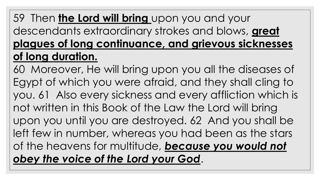## 59 Then **the Lord will bring** upon you and your descendants extraordinary strokes and blows, **great plagues of long continuance, and grievous sicknesses of long duration.**

60 Moreover, He will bring upon you all the diseases of Egypt of which you were afraid, and they shall cling to you. 61 Also every sickness and every affliction which is not written in this Book of the Law the Lord will bring upon you until you are destroyed. 62 And you shall be left few in number, whereas you had been as the stars of the heavens for multitude, *because you would not obey the voice of the Lord your God*.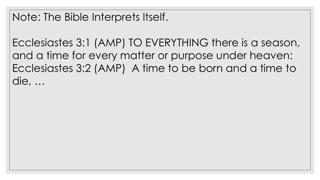Ecclesiastes 3:1 (AMP) TO EVERYTHING there is a season, and a time for every matter or purpose under heaven: Ecclesiastes 3:2 (AMP) A time to be born and a time to die, …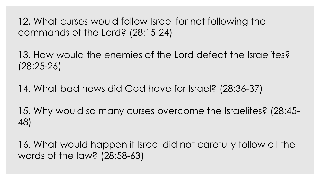12. What curses would follow Israel for not following the commands of the Lord? (28:15-24)

13. How would the enemies of the Lord defeat the Israelites? (28:25-26)

14. What bad news did God have for Israel? (28:36-37)

15. Why would so many curses overcome the Israelites? (28:45- 48)

16. What would happen if Israel did not carefully follow all the words of the law? (28:58-63)